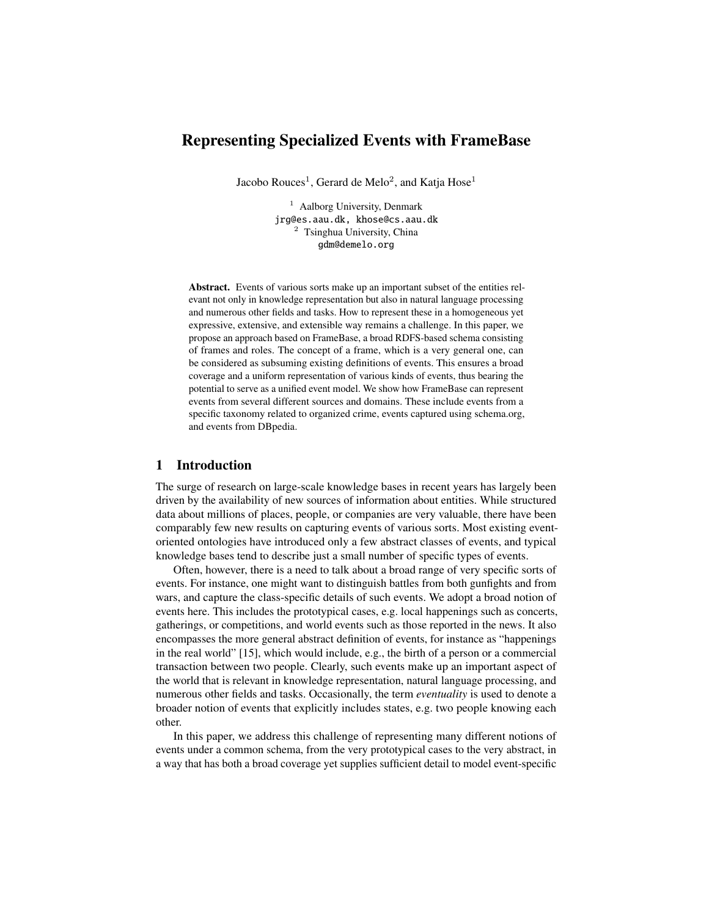# Representing Specialized Events with FrameBase

Jacobo Rouces $^1$ , Gerard de Melo $^2$ , and Katja Hose $^1$ 

<sup>1</sup> Aalborg University, Denmark jrg@es.aau.dk, khose@cs.aau.dk <sup>2</sup> Tsinghua University, China gdm@demelo.org

Abstract. Events of various sorts make up an important subset of the entities relevant not only in knowledge representation but also in natural language processing and numerous other fields and tasks. How to represent these in a homogeneous yet expressive, extensive, and extensible way remains a challenge. In this paper, we propose an approach based on FrameBase, a broad RDFS-based schema consisting of frames and roles. The concept of a frame, which is a very general one, can be considered as subsuming existing definitions of events. This ensures a broad coverage and a uniform representation of various kinds of events, thus bearing the potential to serve as a unified event model. We show how FrameBase can represent events from several different sources and domains. These include events from a specific taxonomy related to organized crime, events captured using schema.org, and events from DBpedia.

# 1 Introduction

The surge of research on large-scale knowledge bases in recent years has largely been driven by the availability of new sources of information about entities. While structured data about millions of places, people, or companies are very valuable, there have been comparably few new results on capturing events of various sorts. Most existing eventoriented ontologies have introduced only a few abstract classes of events, and typical knowledge bases tend to describe just a small number of specific types of events.

Often, however, there is a need to talk about a broad range of very specific sorts of events. For instance, one might want to distinguish battles from both gunfights and from wars, and capture the class-specific details of such events. We adopt a broad notion of events here. This includes the prototypical cases, e.g. local happenings such as concerts, gatherings, or competitions, and world events such as those reported in the news. It also encompasses the more general abstract definition of events, for instance as "happenings in the real world" [15], which would include, e.g., the birth of a person or a commercial transaction between two people. Clearly, such events make up an important aspect of the world that is relevant in knowledge representation, natural language processing, and numerous other fields and tasks. Occasionally, the term *eventuality* is used to denote a broader notion of events that explicitly includes states, e.g. two people knowing each other.

In this paper, we address this challenge of representing many different notions of events under a common schema, from the very prototypical cases to the very abstract, in a way that has both a broad coverage yet supplies sufficient detail to model event-specific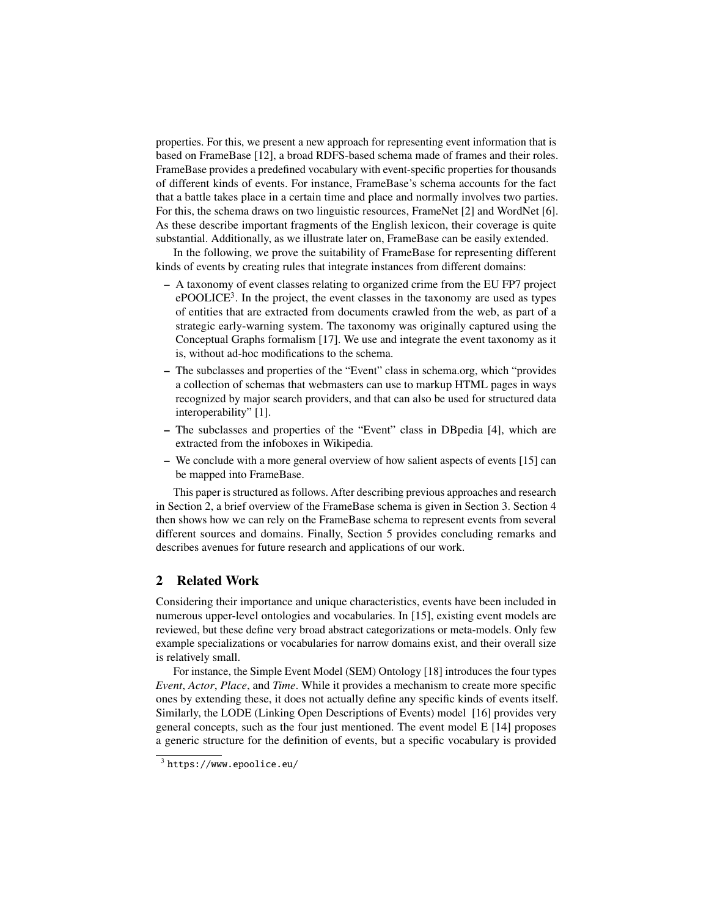properties. For this, we present a new approach for representing event information that is based on FrameBase [12], a broad RDFS-based schema made of frames and their roles. FrameBase provides a predefined vocabulary with event-specific properties for thousands of different kinds of events. For instance, FrameBase's schema accounts for the fact that a battle takes place in a certain time and place and normally involves two parties. For this, the schema draws on two linguistic resources, FrameNet [2] and WordNet [6]. As these describe important fragments of the English lexicon, their coverage is quite substantial. Additionally, as we illustrate later on, FrameBase can be easily extended.

In the following, we prove the suitability of FrameBase for representing different kinds of events by creating rules that integrate instances from different domains:

- A taxonomy of event classes relating to organized crime from the EU FP7 project ePOOLICE<sup>3</sup>. In the project, the event classes in the taxonomy are used as types of entities that are extracted from documents crawled from the web, as part of a strategic early-warning system. The taxonomy was originally captured using the Conceptual Graphs formalism [17]. We use and integrate the event taxonomy as it is, without ad-hoc modifications to the schema.
- The subclasses and properties of the "Event" class in schema.org, which "provides a collection of schemas that webmasters can use to markup HTML pages in ways recognized by major search providers, and that can also be used for structured data interoperability" [1].
- The subclasses and properties of the "Event" class in DBpedia [4], which are extracted from the infoboxes in Wikipedia.
- We conclude with a more general overview of how salient aspects of events [15] can be mapped into FrameBase.

This paper is structured as follows. After describing previous approaches and research in Section 2, a brief overview of the FrameBase schema is given in Section 3. Section 4 then shows how we can rely on the FrameBase schema to represent events from several different sources and domains. Finally, Section 5 provides concluding remarks and describes avenues for future research and applications of our work.

# 2 Related Work

Considering their importance and unique characteristics, events have been included in numerous upper-level ontologies and vocabularies. In [15], existing event models are reviewed, but these define very broad abstract categorizations or meta-models. Only few example specializations or vocabularies for narrow domains exist, and their overall size is relatively small.

For instance, the Simple Event Model (SEM) Ontology [18] introduces the four types *Event*, *Actor*, *Place*, and *Time*. While it provides a mechanism to create more specific ones by extending these, it does not actually define any specific kinds of events itself. Similarly, the LODE (Linking Open Descriptions of Events) model [16] provides very general concepts, such as the four just mentioned. The event model E [14] proposes a generic structure for the definition of events, but a specific vocabulary is provided

 $^3$  <code>https://www.epoolice.eu/</code>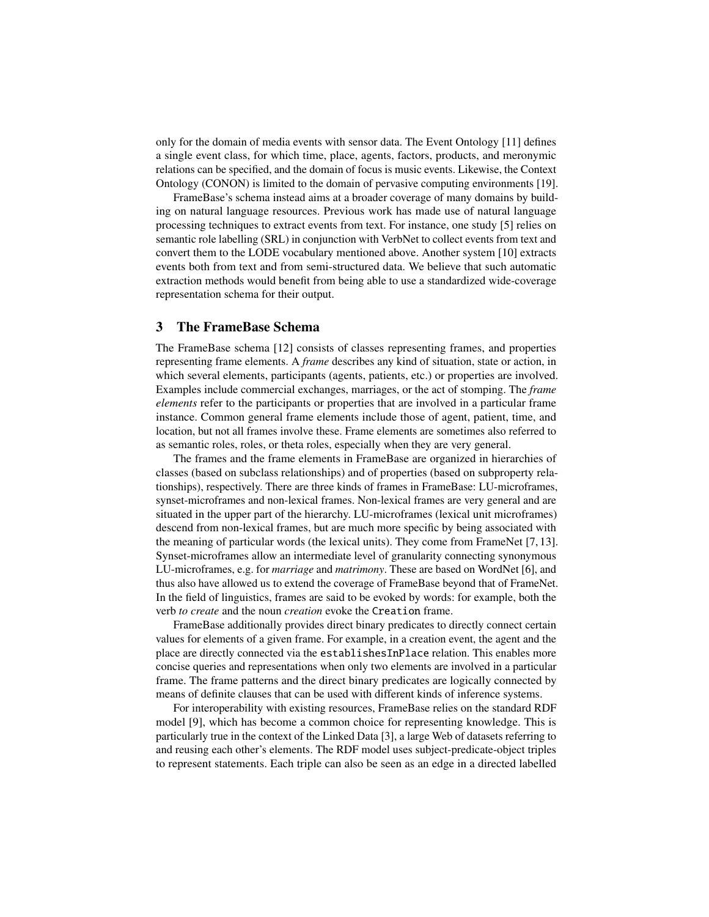only for the domain of media events with sensor data. The Event Ontology [11] defines a single event class, for which time, place, agents, factors, products, and meronymic relations can be specified, and the domain of focus is music events. Likewise, the Context Ontology (CONON) is limited to the domain of pervasive computing environments [19].

FrameBase's schema instead aims at a broader coverage of many domains by building on natural language resources. Previous work has made use of natural language processing techniques to extract events from text. For instance, one study [5] relies on semantic role labelling (SRL) in conjunction with VerbNet to collect events from text and convert them to the LODE vocabulary mentioned above. Another system [10] extracts events both from text and from semi-structured data. We believe that such automatic extraction methods would benefit from being able to use a standardized wide-coverage representation schema for their output.

# 3 The FrameBase Schema

The FrameBase schema [12] consists of classes representing frames, and properties representing frame elements. A *frame* describes any kind of situation, state or action, in which several elements, participants (agents, patients, etc.) or properties are involved. Examples include commercial exchanges, marriages, or the act of stomping. The *frame elements* refer to the participants or properties that are involved in a particular frame instance. Common general frame elements include those of agent, patient, time, and location, but not all frames involve these. Frame elements are sometimes also referred to as semantic roles, roles, or theta roles, especially when they are very general.

The frames and the frame elements in FrameBase are organized in hierarchies of classes (based on subclass relationships) and of properties (based on subproperty relationships), respectively. There are three kinds of frames in FrameBase: LU-microframes, synset-microframes and non-lexical frames. Non-lexical frames are very general and are situated in the upper part of the hierarchy. LU-microframes (lexical unit microframes) descend from non-lexical frames, but are much more specific by being associated with the meaning of particular words (the lexical units). They come from FrameNet [7, 13]. Synset-microframes allow an intermediate level of granularity connecting synonymous LU-microframes, e.g. for *marriage* and *matrimony*. These are based on WordNet [6], and thus also have allowed us to extend the coverage of FrameBase beyond that of FrameNet. In the field of linguistics, frames are said to be evoked by words: for example, both the verb *to create* and the noun *creation* evoke the Creation frame.

FrameBase additionally provides direct binary predicates to directly connect certain values for elements of a given frame. For example, in a creation event, the agent and the place are directly connected via the establishesInPlace relation. This enables more concise queries and representations when only two elements are involved in a particular frame. The frame patterns and the direct binary predicates are logically connected by means of definite clauses that can be used with different kinds of inference systems.

For interoperability with existing resources, FrameBase relies on the standard RDF model [9], which has become a common choice for representing knowledge. This is particularly true in the context of the Linked Data [3], a large Web of datasets referring to and reusing each other's elements. The RDF model uses subject-predicate-object triples to represent statements. Each triple can also be seen as an edge in a directed labelled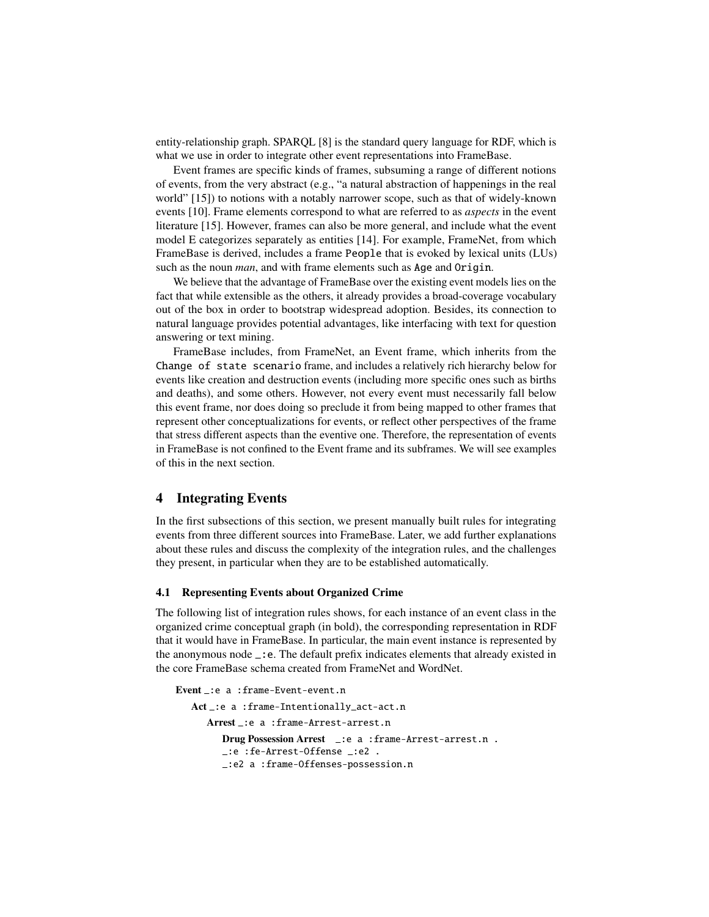entity-relationship graph. SPARQL [8] is the standard query language for RDF, which is what we use in order to integrate other event representations into FrameBase.

Event frames are specific kinds of frames, subsuming a range of different notions of events, from the very abstract (e.g., "a natural abstraction of happenings in the real world" [15]) to notions with a notably narrower scope, such as that of widely-known events [10]. Frame elements correspond to what are referred to as *aspects* in the event literature [15]. However, frames can also be more general, and include what the event model E categorizes separately as entities [14]. For example, FrameNet, from which FrameBase is derived, includes a frame People that is evoked by lexical units (LUs) such as the noun *man*, and with frame elements such as Age and Origin.

We believe that the advantage of FrameBase over the existing event models lies on the fact that while extensible as the others, it already provides a broad-coverage vocabulary out of the box in order to bootstrap widespread adoption. Besides, its connection to natural language provides potential advantages, like interfacing with text for question answering or text mining.

FrameBase includes, from FrameNet, an Event frame, which inherits from the Change of state scenario frame, and includes a relatively rich hierarchy below for events like creation and destruction events (including more specific ones such as births and deaths), and some others. However, not every event must necessarily fall below this event frame, nor does doing so preclude it from being mapped to other frames that represent other conceptualizations for events, or reflect other perspectives of the frame that stress different aspects than the eventive one. Therefore, the representation of events in FrameBase is not confined to the Event frame and its subframes. We will see examples of this in the next section.

# 4 Integrating Events

In the first subsections of this section, we present manually built rules for integrating events from three different sources into FrameBase. Later, we add further explanations about these rules and discuss the complexity of the integration rules, and the challenges they present, in particular when they are to be established automatically.

# 4.1 Representing Events about Organized Crime

The following list of integration rules shows, for each instance of an event class in the organized crime conceptual graph (in bold), the corresponding representation in RDF that it would have in FrameBase. In particular, the main event instance is represented by the anonymous node \_:e. The default prefix indicates elements that already existed in the core FrameBase schema created from FrameNet and WordNet.

```
Event :e a :frame-Event-event.n
  Act _:e a :frame-Intentionally_act-act.n
     Arrest _:e a :frame-Arrest-arrest.n
         Drug Possession Arrest _:e a :frame-Arrest-arrest.n .
         _:e :fe-Arrest-Offense _:e2 .
         _:e2 a :frame-Offenses-possession.n
```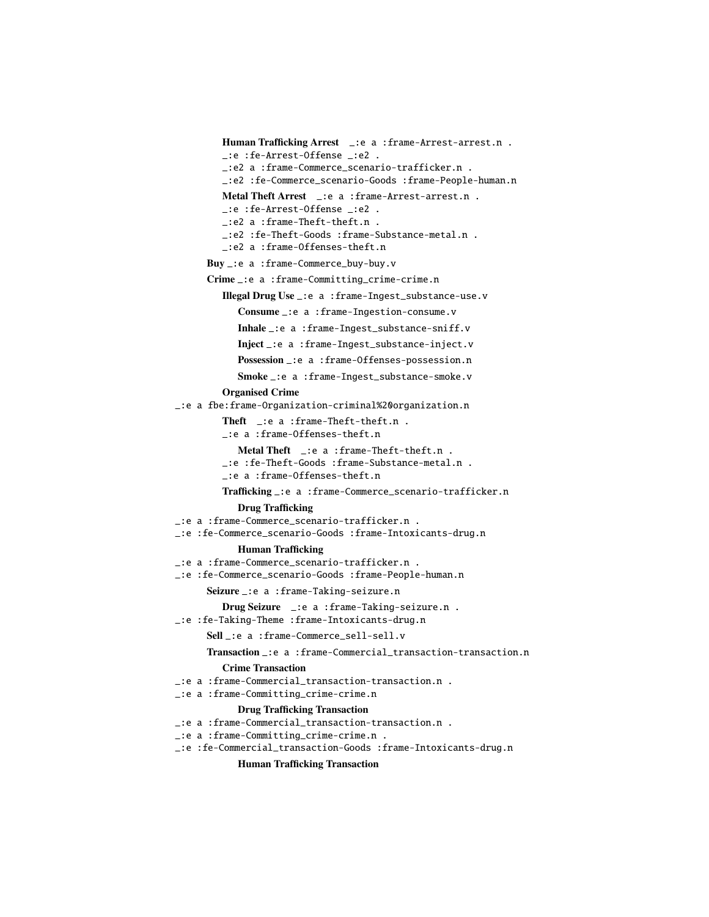```
Human Trafficking Arrest _:e a :frame-Arrest-arrest.n .
         _:e :fe-Arrest-Offense _:e2 .
        _:e2 a :frame-Commerce_scenario-trafficker.n .
         _:e2 :fe-Commerce_scenario-Goods :frame-People-human.n
        Metal Theft Arrest _:e a :frame-Arrest-arrest.n .
        _:e :fe-Arrest-Offense _:e2 .
         _:e2 a :frame-Theft-theft.n .
        _:e2 :fe-Theft-Goods :frame-Substance-metal.n .
         _:e2 a :frame-Offenses-theft.n
      Buy _:e a :frame-Commerce_buy-buy.v
      Crime _:e a :frame-Committing_crime-crime.n
         Illegal Drug Use _:e a :frame-Ingest_substance-use.v
            Consume _:e a :frame-Ingestion-consume.v
           Inhale _:e a :frame-Ingest_substance-sniff.v
           Inject _:e a :frame-Ingest_substance-inject.v
           Possession _:e a :frame-Offenses-possession.n
           Smoke _:e a :frame-Ingest_substance-smoke.v
         Organised Crime
_:e a fbe:frame-Organization-criminal%20organization.n
         Theft _:e a :frame-Theft-theft.n .
         _:e a :frame-Offenses-theft.n
           Metal Theft _:e a :frame-Theft-theft.n .
         _:e :fe-Theft-Goods :frame-Substance-metal.n .
         _:e a :frame-Offenses-theft.n
         Trafficking _:e a :frame-Commerce_scenario-trafficker.n
           Drug Trafficking
_:e a :frame-Commerce_scenario-trafficker.n .
_:e :fe-Commerce_scenario-Goods :frame-Intoxicants-drug.n
           Human Trafficking
_:e a :frame-Commerce_scenario-trafficker.n .
_:e :fe-Commerce_scenario-Goods :frame-People-human.n
     Seizure _:e a :frame-Taking-seizure.n
         Drug Seizure _:e a :frame-Taking-seizure.n .
_:e :fe-Taking-Theme :frame-Intoxicants-drug.n
     Sell _:e a :frame-Commerce_sell-sell.v
      Transaction _:e a :frame-Commercial_transaction-transaction.n
         Crime Transaction
_:e a :frame-Commercial_transaction-transaction.n .
_:e a :frame-Committing_crime-crime.n
           Drug Trafficking Transaction
_:e a :frame-Commercial_transaction-transaction.n .
_:e a :frame-Committing_crime-crime.n .
_:e :fe-Commercial_transaction-Goods :frame-Intoxicants-drug.n
           Human Trafficking Transaction
```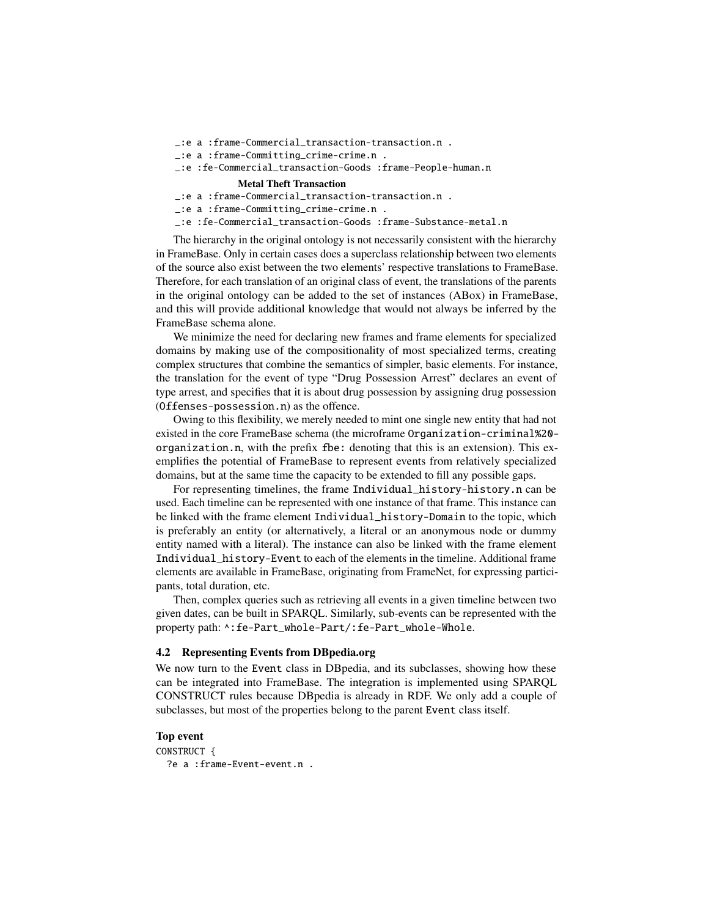\_:e a :frame-Commercial\_transaction-transaction.n .

\_:e a :frame-Committing\_crime-crime.n .

```
_:e :fe-Commercial_transaction-Goods :frame-People-human.n
```
#### Metal Theft Transaction

\_:e a :frame-Commercial\_transaction-transaction.n .

\_:e a :frame-Committing\_crime-crime.n .

\_:e :fe-Commercial\_transaction-Goods :frame-Substance-metal.n

The hierarchy in the original ontology is not necessarily consistent with the hierarchy in FrameBase. Only in certain cases does a superclass relationship between two elements of the source also exist between the two elements' respective translations to FrameBase. Therefore, for each translation of an original class of event, the translations of the parents in the original ontology can be added to the set of instances (ABox) in FrameBase, and this will provide additional knowledge that would not always be inferred by the FrameBase schema alone.

We minimize the need for declaring new frames and frame elements for specialized domains by making use of the compositionality of most specialized terms, creating complex structures that combine the semantics of simpler, basic elements. For instance, the translation for the event of type "Drug Possession Arrest" declares an event of type arrest, and specifies that it is about drug possession by assigning drug possession (Offenses-possession.n) as the offence.

Owing to this flexibility, we merely needed to mint one single new entity that had not existed in the core FrameBase schema (the microframe Organization-criminal%20 organization.n, with the prefix fbe: denoting that this is an extension). This exemplifies the potential of FrameBase to represent events from relatively specialized domains, but at the same time the capacity to be extended to fill any possible gaps.

For representing timelines, the frame Individual\_history-history.n can be used. Each timeline can be represented with one instance of that frame. This instance can be linked with the frame element Individual\_history-Domain to the topic, which is preferably an entity (or alternatively, a literal or an anonymous node or dummy entity named with a literal). The instance can also be linked with the frame element Individual\_history-Event to each of the elements in the timeline. Additional frame elements are available in FrameBase, originating from FrameNet, for expressing participants, total duration, etc.

Then, complex queries such as retrieving all events in a given timeline between two given dates, can be built in SPARQL. Similarly, sub-events can be represented with the property path: ^:fe-Part\_whole-Part/:fe-Part\_whole-Whole.

### 4.2 Representing Events from DBpedia.org

We now turn to the Event class in DBpedia, and its subclasses, showing how these can be integrated into FrameBase. The integration is implemented using SPARQL CONSTRUCT rules because DBpedia is already in RDF. We only add a couple of subclasses, but most of the properties belong to the parent Event class itself.

# Top event

CONSTRUCT { ?e a :frame-Event-event.n .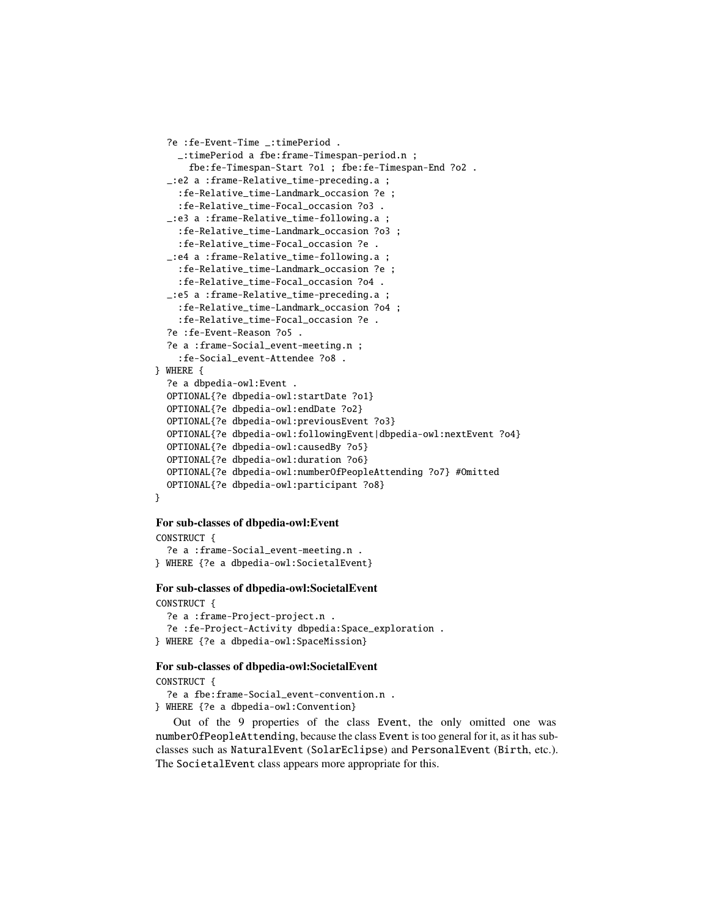```
?e :fe-Event-Time _:timePeriod .
    _:timePeriod a fbe:frame-Timespan-period.n ;
      fbe:fe-Timespan-Start ?o1 ; fbe:fe-Timespan-End ?o2 .
  _:e2 a :frame-Relative_time-preceding.a ;
    :fe-Relative_time-Landmark_occasion ?e ;
    :fe-Relative_time-Focal_occasion ?o3 .
  _:e3 a :frame-Relative_time-following.a ;
    :fe-Relative_time-Landmark_occasion ?o3 ;
    :fe-Relative_time-Focal_occasion ?e .
  _:e4 a :frame-Relative_time-following.a ;
    :fe-Relative_time-Landmark_occasion ?e ;
    :fe-Relative_time-Focal_occasion ?o4 .
  _:e5 a :frame-Relative_time-preceding.a ;
    :fe-Relative_time-Landmark_occasion ?o4 ;
    :fe-Relative_time-Focal_occasion ?e .
  ?e :fe-Event-Reason ?o5 .
  ?e a :frame-Social_event-meeting.n ;
    :fe-Social_event-Attendee ?o8 .
} WHERE {
  ?e a dbpedia-owl:Event .
  OPTIONAL{?e dbpedia-owl:startDate ?o1}
  OPTIONAL{?e dbpedia-owl:endDate ?o2}
  OPTIONAL{?e dbpedia-owl:previousEvent ?o3}
  OPTIONAL{?e dbpedia-owl:followingEvent|dbpedia-owl:nextEvent ?o4}
  OPTIONAL{?e dbpedia-owl:causedBy ?o5}
  OPTIONAL{?e dbpedia-owl:duration ?o6}
  OPTIONAL{?e dbpedia-owl:numberOfPeopleAttending ?o7} #Omitted
  OPTIONAL{?e dbpedia-owl:participant ?o8}
}
```
# For sub-classes of dbpedia-owl:Event

```
CONSTRUCT {
  ?e a :frame-Social_event-meeting.n .
} WHERE {?e a dbpedia-owl:SocietalEvent}
```
#### For sub-classes of dbpedia-owl:SocietalEvent

CONSTRUCT { ?e a :frame-Project-project.n . ?e :fe-Project-Activity dbpedia:Space\_exploration . } WHERE {?e a dbpedia-owl:SpaceMission}

### For sub-classes of dbpedia-owl:SocietalEvent

CONSTRUCT {

?e a fbe:frame-Social\_event-convention.n . } WHERE {?e a dbpedia-owl:Convention}

Out of the 9 properties of the class Event, the only omitted one was numberOfPeopleAttending, because the class Event is too general for it, as it has subclasses such as NaturalEvent (SolarEclipse) and PersonalEvent (Birth, etc.). The SocietalEvent class appears more appropriate for this.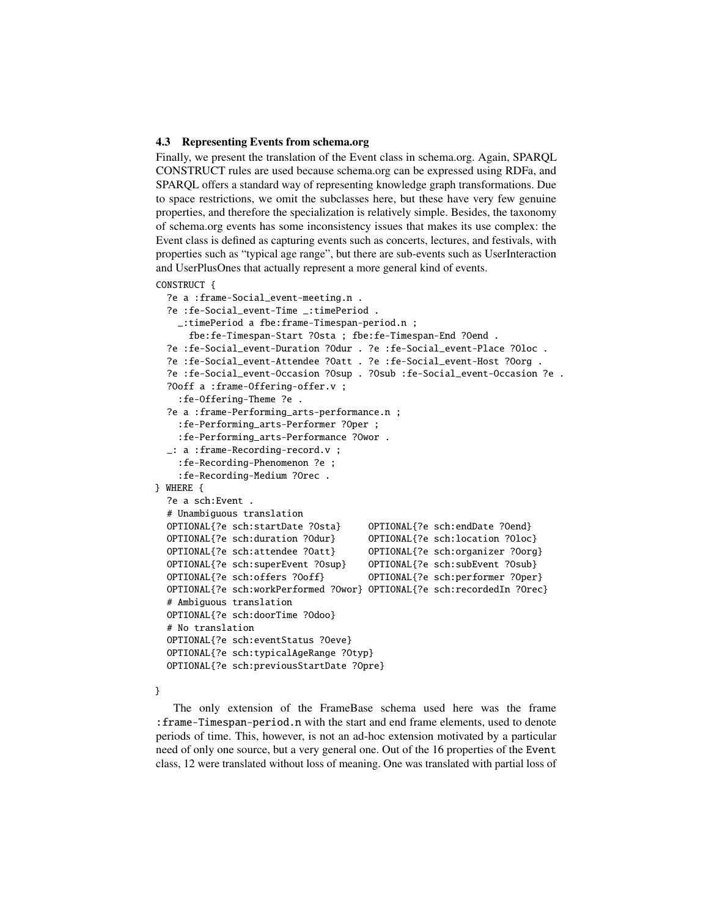#### 4.3 Representing Events from schema.org

Finally, we present the translation of the Event class in schema.org. Again, SPARQL CONSTRUCT rules are used because schema.org can be expressed using RDFa, and SPARQL offers a standard way of representing knowledge graph transformations. Due to space restrictions, we omit the subclasses here, but these have very few genuine properties, and therefore the specialization is relatively simple. Besides, the taxonomy of schema.org events has some inconsistency issues that makes its use complex: the Event class is defined as capturing events such as concerts, lectures, and festivals, with properties such as "typical age range", but there are sub-events such as UserInteraction and UserPlusOnes that actually represent a more general kind of events.

### CONSTRUCT {

```
?e a :frame-Social_event-meeting.n .
  ?e :fe-Social_event-Time _:timePeriod .
    _:timePeriod a fbe:frame-Timespan-period.n ;
      fbe:fe-Timespan-Start ?Osta ; fbe:fe-Timespan-End ?Oend .
  ?e :fe-Social_event-Duration ?Odur . ?e :fe-Social_event-Place ?Oloc .
  ?e :fe-Social_event-Attendee ?Oatt . ?e :fe-Social_event-Host ?Oorg .
  ?e :fe-Social_event-Occasion ?Osup . ?Osub :fe-Social_event-Occasion ?e .
  ?Ooff a :frame-Offering-offer.v ;
    :fe-Offering-Theme ?e .
  ?e a :frame-Performing_arts-performance.n ;
    :fe-Performing_arts-Performer ?Oper ;
    :fe-Performing_arts-Performance ?Owor .
  _: a :frame-Recording-record.v ;
    :fe-Recording-Phenomenon ?e ;
    :fe-Recording-Medium ?Orec .
} WHERE {
  ?e a sch:Event .
  # Unambiguous translation
  OPTIONAL{?e sch:startDate ?Osta} OPTIONAL{?e sch:endDate ?Oend}
  OPTIONAL{?e sch:duration ?Odur} OPTIONAL{?e sch:location ?Oloc}
  OPTIONAL{?e sch:attendee ?Oatt} OPTIONAL{?e sch:organizer ?Oorg}
  OPTIONAL{?e sch:superEvent ?Osup} OPTIONAL{?e sch:subEvent ?Osub}
  OPTIONAL{?e sch:offers ?Ooff} OPTIONAL{?e sch:performer ?Oper}
  OPTIONAL{?e sch:workPerformed ?Owor} OPTIONAL{?e sch:recordedIn ?Orec}
  # Ambiguous translation
  OPTIONAL{?e sch:doorTime ?Odoo}
  # No translation
  OPTIONAL{?e sch:eventStatus ?Oeve}
  OPTIONAL{?e sch:typicalAgeRange ?Otyp}
  OPTIONAL{?e sch:previousStartDate ?Opre}
```
}

The only extension of the FrameBase schema used here was the frame :frame-Timespan-period.n with the start and end frame elements, used to denote periods of time. This, however, is not an ad-hoc extension motivated by a particular need of only one source, but a very general one. Out of the 16 properties of the Event class, 12 were translated without loss of meaning. One was translated with partial loss of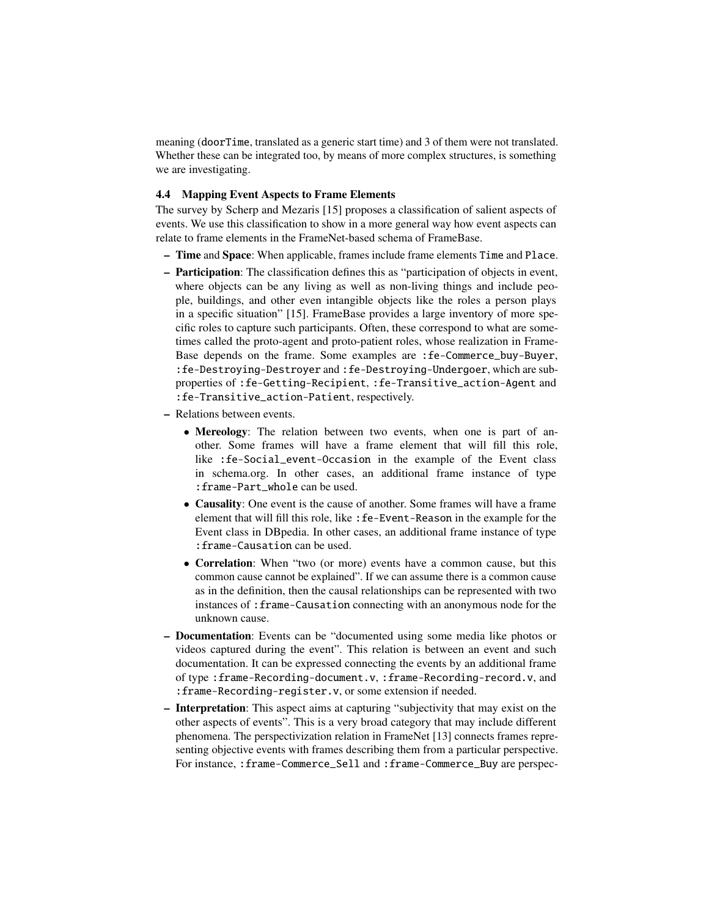meaning (doorTime, translated as a generic start time) and 3 of them were not translated. Whether these can be integrated too, by means of more complex structures, is something we are investigating.

# 4.4 Mapping Event Aspects to Frame Elements

The survey by Scherp and Mezaris [15] proposes a classification of salient aspects of events. We use this classification to show in a more general way how event aspects can relate to frame elements in the FrameNet-based schema of FrameBase.

- Time and Space: When applicable, frames include frame elements Time and Place.
- Participation: The classification defines this as "participation of objects in event, where objects can be any living as well as non-living things and include people, buildings, and other even intangible objects like the roles a person plays in a specific situation" [15]. FrameBase provides a large inventory of more specific roles to capture such participants. Often, these correspond to what are sometimes called the proto-agent and proto-patient roles, whose realization in Frame-Base depends on the frame. Some examples are :fe-Commerce\_buy-Buyer, :fe-Destroying-Destroyer and :fe-Destroying-Undergoer, which are subproperties of :fe-Getting-Recipient, :fe-Transitive\_action-Agent and :fe-Transitive\_action-Patient, respectively.
- Relations between events.
	- Mereology: The relation between two events, when one is part of another. Some frames will have a frame element that will fill this role, like :fe-Social\_event-Occasion in the example of the Event class in schema.org. In other cases, an additional frame instance of type :frame-Part\_whole can be used.
	- Causality: One event is the cause of another. Some frames will have a frame element that will fill this role, like :fe-Event-Reason in the example for the Event class in DBpedia. In other cases, an additional frame instance of type :frame-Causation can be used.
	- Correlation: When "two (or more) events have a common cause, but this common cause cannot be explained". If we can assume there is a common cause as in the definition, then the causal relationships can be represented with two instances of :frame-Causation connecting with an anonymous node for the unknown cause.
- Documentation: Events can be "documented using some media like photos or videos captured during the event". This relation is between an event and such documentation. It can be expressed connecting the events by an additional frame of type :frame-Recording-document.v, :frame-Recording-record.v, and :frame-Recording-register.v, or some extension if needed.
- Interpretation: This aspect aims at capturing "subjectivity that may exist on the other aspects of events". This is a very broad category that may include different phenomena. The perspectivization relation in FrameNet [13] connects frames representing objective events with frames describing them from a particular perspective. For instance, :frame-Commerce\_Sell and :frame-Commerce\_Buy are perspec-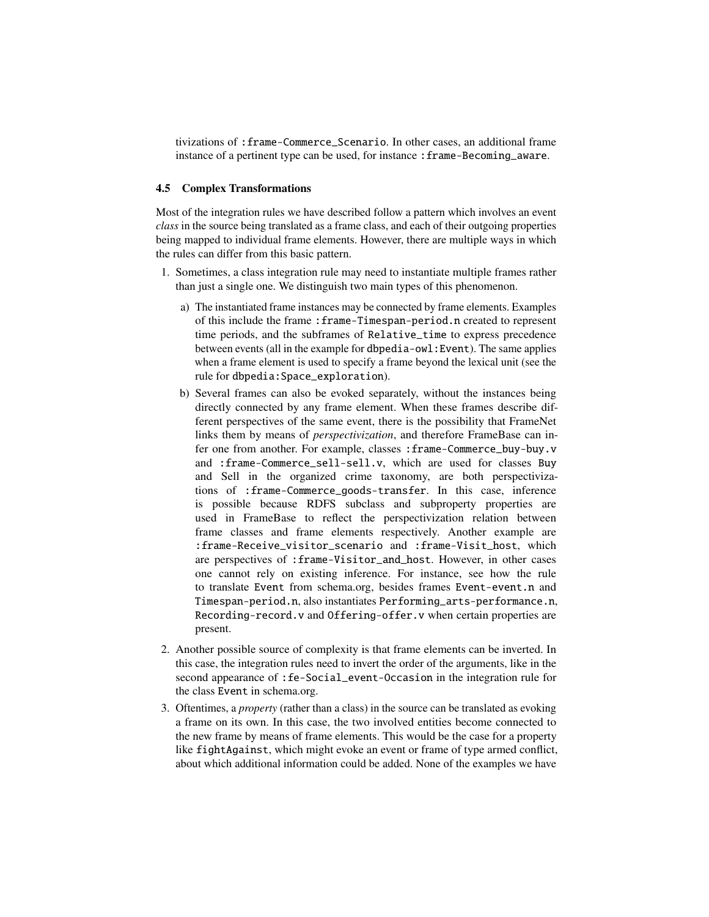tivizations of :frame-Commerce\_Scenario. In other cases, an additional frame instance of a pertinent type can be used, for instance : frame-Becoming\_aware.

### 4.5 Complex Transformations

Most of the integration rules we have described follow a pattern which involves an event *class* in the source being translated as a frame class, and each of their outgoing properties being mapped to individual frame elements. However, there are multiple ways in which the rules can differ from this basic pattern.

- 1. Sometimes, a class integration rule may need to instantiate multiple frames rather than just a single one. We distinguish two main types of this phenomenon.
	- a) The instantiated frame instances may be connected by frame elements. Examples of this include the frame :frame-Timespan-period.n created to represent time periods, and the subframes of Relative\_time to express precedence between events (all in the example for dbpedia-owl:Event). The same applies when a frame element is used to specify a frame beyond the lexical unit (see the rule for dbpedia:Space\_exploration).
	- b) Several frames can also be evoked separately, without the instances being directly connected by any frame element. When these frames describe different perspectives of the same event, there is the possibility that FrameNet links them by means of *perspectivization*, and therefore FrameBase can infer one from another. For example, classes : frame-Commerce\_buy-buy.v and :frame-Commerce\_sell-sell.v, which are used for classes Buy and Sell in the organized crime taxonomy, are both perspectivizations of :frame-Commerce\_goods-transfer. In this case, inference is possible because RDFS subclass and subproperty properties are used in FrameBase to reflect the perspectivization relation between frame classes and frame elements respectively. Another example are :frame-Receive\_visitor\_scenario and :frame-Visit\_host, which are perspectives of :frame-Visitor\_and\_host. However, in other cases one cannot rely on existing inference. For instance, see how the rule to translate Event from schema.org, besides frames Event-event.n and Timespan-period.n, also instantiates Performing\_arts-performance.n, Recording-record.v and Offering-offer.v when certain properties are present.
- 2. Another possible source of complexity is that frame elements can be inverted. In this case, the integration rules need to invert the order of the arguments, like in the second appearance of :fe-Social\_event-Occasion in the integration rule for the class Event in schema.org.
- 3. Oftentimes, a *property* (rather than a class) in the source can be translated as evoking a frame on its own. In this case, the two involved entities become connected to the new frame by means of frame elements. This would be the case for a property like fightAgainst, which might evoke an event or frame of type armed conflict, about which additional information could be added. None of the examples we have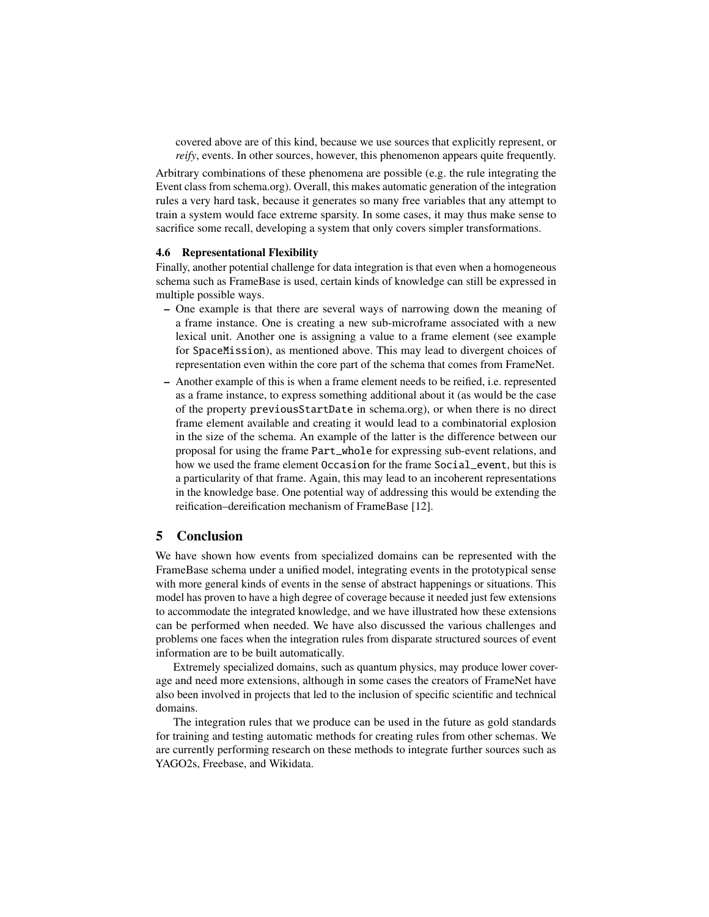covered above are of this kind, because we use sources that explicitly represent, or *reify*, events. In other sources, however, this phenomenon appears quite frequently.

Arbitrary combinations of these phenomena are possible (e.g. the rule integrating the Event class from schema.org). Overall, this makes automatic generation of the integration rules a very hard task, because it generates so many free variables that any attempt to train a system would face extreme sparsity. In some cases, it may thus make sense to sacrifice some recall, developing a system that only covers simpler transformations.

#### 4.6 Representational Flexibility

Finally, another potential challenge for data integration is that even when a homogeneous schema such as FrameBase is used, certain kinds of knowledge can still be expressed in multiple possible ways.

- One example is that there are several ways of narrowing down the meaning of a frame instance. One is creating a new sub-microframe associated with a new lexical unit. Another one is assigning a value to a frame element (see example for SpaceMission), as mentioned above. This may lead to divergent choices of representation even within the core part of the schema that comes from FrameNet.
- Another example of this is when a frame element needs to be reified, i.e. represented as a frame instance, to express something additional about it (as would be the case of the property previousStartDate in schema.org), or when there is no direct frame element available and creating it would lead to a combinatorial explosion in the size of the schema. An example of the latter is the difference between our proposal for using the frame Part\_whole for expressing sub-event relations, and how we used the frame element Occasion for the frame Social\_event, but this is a particularity of that frame. Again, this may lead to an incoherent representations in the knowledge base. One potential way of addressing this would be extending the reification–dereification mechanism of FrameBase [12].

# 5 Conclusion

We have shown how events from specialized domains can be represented with the FrameBase schema under a unified model, integrating events in the prototypical sense with more general kinds of events in the sense of abstract happenings or situations. This model has proven to have a high degree of coverage because it needed just few extensions to accommodate the integrated knowledge, and we have illustrated how these extensions can be performed when needed. We have also discussed the various challenges and problems one faces when the integration rules from disparate structured sources of event information are to be built automatically.

Extremely specialized domains, such as quantum physics, may produce lower coverage and need more extensions, although in some cases the creators of FrameNet have also been involved in projects that led to the inclusion of specific scientific and technical domains.

The integration rules that we produce can be used in the future as gold standards for training and testing automatic methods for creating rules from other schemas. We are currently performing research on these methods to integrate further sources such as YAGO2s, Freebase, and Wikidata.